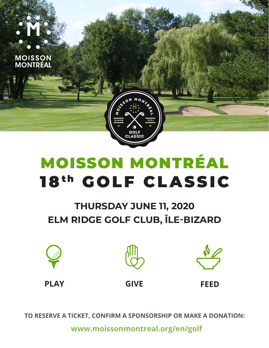

# **THURSDAY JUNE 11, 2020** ELM RIDGE GOLF CLUB, ÎLE-BIZARD







**PLAY** 

**GIVE** 

**FFFD** 

TO RESERVE A TICKET, CONFIRM A SPONSORSHIP OR MAKE A DONATION:

www.moissonmontreal.org/en/golf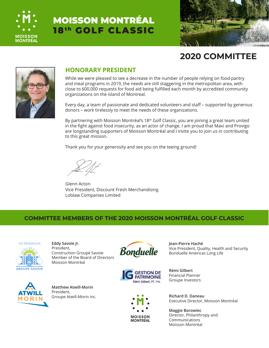



## **2020 COMMITTEE**



#### **HONORARY PRESIDENT**

While we were pleased to see a decrease in the number of people relying on food pantry and meal programs in 2019, the needs are still staggering in the metropolitan area, with close to 600,000 requests for food aid being fulfilled each month by accredited community organizations on the island of Montreal.

Every day, a team of passionate and dedicated volunteers and staff – supported by generous donors – work tirelessly to meet the needs of these organizations.

By partnering with Moisson Montréal's 18<sup>th</sup> Golf Classic, you are joining a great team united in the fight against food insecurity, as an actor of change. I am proud that Maxi and Provigo are longstanding supporters of Moisson Montréal and I invite you to join us in contributing to this great mission.

Thank you for your generosity and see you on the teeing ground!

Glenn Acton Vice President, Discount Fresh Merchandising Loblaw Companies Limited

#### **COMMITTEE MEMBERS OF THE 2020 MOISSON MONTRÉAL GOLF CLASSIC**



**Eddy Savoie Jr.** President, Construction Groupe Savoie Member of the Board of Directors





**MOISSON** MONTRÉAL **Jean-Pierre Haché** Vice President, Quality, Health and Security Bonduelle Americas Long Life

**Rémi Gilbert** Financial Planner Groupe Investors

Executive Director, Moisson Montréal

**Maggie Borowiec** Director, Philanthropy and Communications Moisson Montréal

Moisson Montréal



**Matthew Atwill-Morin** President, Groupe Atwill-Morin inc. **Richard D. Daneau**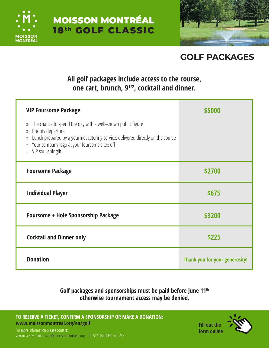



# **GOLF PACKAGES**

### **All golf packages include access to the course, one cart, brunch, 91/2, cocktail and dinner.**

| <b>VIP Foursome Package</b>                                                                                                                                                                                                                                                        | \$5000 |
|------------------------------------------------------------------------------------------------------------------------------------------------------------------------------------------------------------------------------------------------------------------------------------|--------|
| The chance to spend the day with a well-known public figure<br>$\rangle$<br>Priority departure<br>»<br>Lunch prepared by a gourmet catering service, delivered directly on the course<br>»<br>Your company logo at your foursome's tee off<br>>><br>VIP souvenir gift<br>$\rangle$ |        |
| <b>Foursome Package</b>                                                                                                                                                                                                                                                            | \$2700 |
| <b>Individual Player</b>                                                                                                                                                                                                                                                           | \$675  |
| <b>Foursome + Hole Sponsorship Package</b>                                                                                                                                                                                                                                         | \$3200 |
|                                                                                                                                                                                                                                                                                    |        |
| <b>Cocktail and Dinner only</b>                                                                                                                                                                                                                                                    | \$225  |

#### **Golf packages and sponsorships must be paid before June 11th otherwise tournament access may be denied.**

**[TO RESERVE A TICKET, CONFIRM A SPONSORSHIP OR MAKE A DONATION:](http://www.golf.moissonmontreal.org)  www.moissonmontreal.org/en/golf**



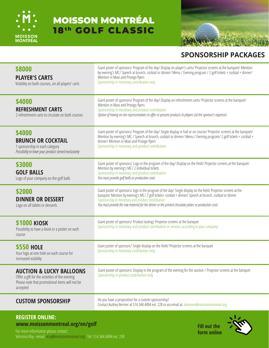



#### **SPONSORSHIP PACKAGES**

| \$8000<br><b>PLAYER'S CARTS</b><br>Visibility on both courses, on all players' carts                                                                | Giant poster of sponsors/ Program of the day/ Display on player's carts/ Projector screens at the banquet/ Mention<br>by evening's MC/ Speech at brunch, cocktail or dinner/ Menu / Evening program / 2 golf tickets + cocktail + dinner/<br>Mention in Maxi and Provigo flyers<br>Sponsorship in monetary contribution only                                                            |
|-----------------------------------------------------------------------------------------------------------------------------------------------------|-----------------------------------------------------------------------------------------------------------------------------------------------------------------------------------------------------------------------------------------------------------------------------------------------------------------------------------------------------------------------------------------|
| \$4000<br><b>REFRESHMENT CARTS</b><br>2 refreshment carts to circulate on both courses                                                              | Giant poster of sponsors/ Program of the day/ Display on refreshment carts/ Projector screens at the banquet/<br>Mention in Maxi and Provigo flyers<br>Sponsorship in monetary and product contribution<br>Option of having on site representatives to offer or present products to players (at the sponsor's expense)                                                                  |
| \$4000<br><b>BRUNCH OR COCKTAIL</b><br>1 sponsorship in each category<br>Possibility to have your product served exclusively                        | Giant poster of sponsors/ Program of the day/ Single display in hall or on course/ Projector screens at the banquet/<br>Mention by evening's MC / Speech at brunch, cocktail or dinner/ Menu / Evening program/ 2 golf tickets + cocktail +<br>dinner/ Mention in Maxi and Provigo flyers<br>Sponsorship in monetary and product contribution                                           |
| \$3000<br><b>GOLF BALLS</b><br>Logo of your company on the golf balls                                                                               | Giant poster of sponsors/ Logo in the program of the day/ Display on the field/ Projector screens at the banquet/<br>Mention by evening's MC/2 individual tickets<br>Sponsorship in monetary and product contribution<br>You must provide golf balls or production costs                                                                                                                |
| \$2000<br><b>DINNER OR DESSERT</b><br>Logo on all tables or desserts                                                                                | Giant poster of sponsors/logo in the program of the day/ Single display on the field/ Projector screens at the<br>banquet/ Mention by evening's MC/ 2 golf tickets+ cocktail + dinner/ Speech at brunch, cocktail or dinner<br>Sponsorship in monetary and product contribution<br>You must provide the raw material for the dinner or the printed chocolate plates or production costs |
| <b>\$1000 KIOSK</b><br>Possibility to have a kiosk or a poster on each<br>course                                                                    | Giant poster of sponsors/ Product tasting/ Projector screens at the banquet<br>Sponsorship in monetary and product contribution or services according to your company                                                                                                                                                                                                                   |
| <b>\$550 HOLE</b><br>Your logo at one hole on each course for<br>increased visibility                                                               | Giant poster of sponsors/ Single display on the field/ Projector screens at the banquet<br>Sponsorship in monetary contribution only                                                                                                                                                                                                                                                    |
| <b>AUCTION &amp; LUCKY BALLOONS</b><br>Offer a gift for the activities of the evening<br>Please note that promotional items will not be<br>accepted | Giant poster of sponsors/ Display in the program of the evening for the auction / Projector screens at the banquet<br>Sponsorship in product contribution only                                                                                                                                                                                                                          |
| <b>CUSTOM SPONSORSHIP</b>                                                                                                                           | Do you have a proposition for a custom sponsorship?<br>Contact Audrey Bernier at 514.344.4494 ext. 228 or via email at: abernier@moissonmontreal.org                                                                                                                                                                                                                                    |
|                                                                                                                                                     |                                                                                                                                                                                                                                                                                                                                                                                         |

# **REGISTER ONLINE:**

**[www.moissonmontreal.org/en/golf](http://www.moissonmontreal.org/en/golf)**<br>
For more information please contact:<br> **Figure 10.000 Forms** and increase contact: **[form online](https://www.imakeanonlinedonation.org/moissonmontreal/EG20/)** For more information please contact: [Véronica Roy - email: vroy@moissonmontreal.org Tel: 514.344.4494 ext. 238](http://www.golf.moissonmontreal.org)